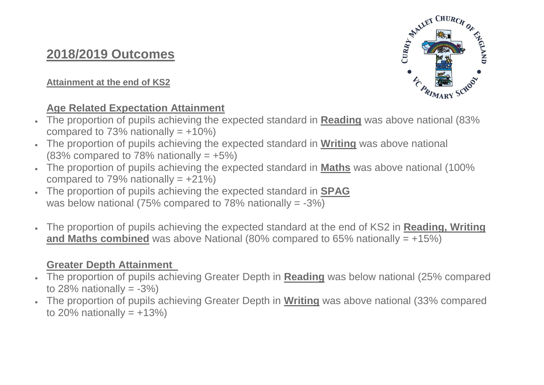# **2018/2019 Outcomes**

## **Attainment at the end of KS2**

# **Age Related Expectation Attainment**

- The proportion of pupils achieving the expected standard in **Reading** was above national (83% compared to 73% nationally  $= +10\%)$
- The proportion of pupils achieving the expected standard in **Writing** was above national  $(83\%$  compared to 78% nationally =  $+5\%$ )
- The proportion of pupils achieving the expected standard in **Maths** was above national (100% compared to 79% nationally  $= +21\%$
- The proportion of pupils achieving the expected standard in **SPAG** was below national (75% compared to 78% nationally  $= -3\%$ )
- The proportion of pupils achieving the expected standard at the end of KS2 in **Reading, Writing and Maths combined** was above National (80% compared to 65% nationally = +15%)

# **Greater Depth Attainment**

- The proportion of pupils achieving Greater Depth in **Reading** was below national (25% compared to 28% nationally  $= -3\%$ )
- The proportion of pupils achieving Greater Depth in **Writing** was above national (33% compared to 20% nationally  $= +13%$

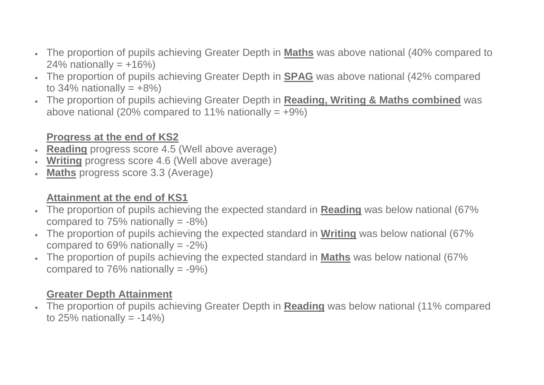- The proportion of pupils achieving Greater Depth in **Maths** was above national (40% compared to 24% nationally =  $+16%$
- The proportion of pupils achieving Greater Depth in **SPAG** was above national (42% compared to  $34\%$  nationally =  $+8\%$ )
- The proportion of pupils achieving Greater Depth in **Reading, Writing & Maths combined** was above national (20% compared to 11% nationally  $= +9\%)$

# **Progress at the end of KS2**

- **Reading** progress score 4.5 (Well above average)
- **Writing** progress score 4.6 (Well above average)
- **Maths** progress score 3.3 (Average)

# **Attainment at the end of KS1**

- The proportion of pupils achieving the expected standard in **Reading** was below national (67% compared to  $75%$  nationally =  $-8%$
- The proportion of pupils achieving the expected standard in **Writing** was below national (67% compared to  $69\%$  nationally =  $-2\%$ )
- The proportion of pupils achieving the expected standard in **Maths** was below national (67% compared to  $76%$  nationally =  $-9%$ )

## **Greater Depth Attainment**

 The proportion of pupils achieving Greater Depth in **Reading** was below national (11% compared to 25% nationally  $= -14\%$ )